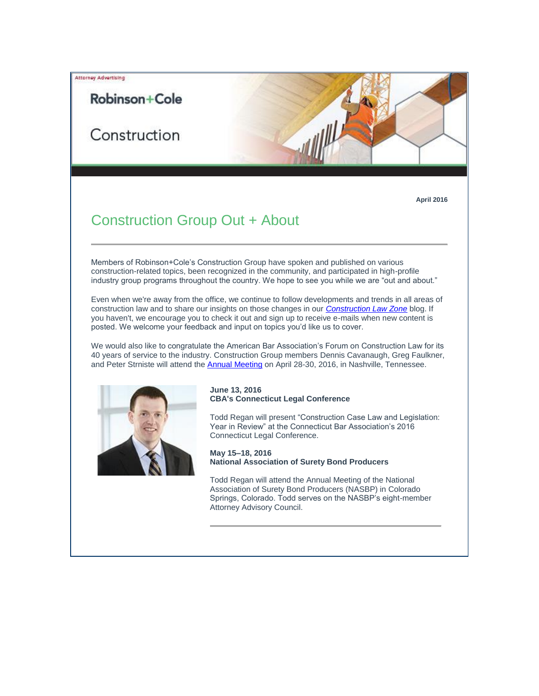# Robinson+Cole

Attorney Advertising

Construction

**April 2016**

## Construction Group Out + About

Members of Robinson+Cole's Construction Group have spoken and published on various construction-related topics, been recognized in the community, and participated in high-profile industry group programs throughout the country. We hope to see you while we are "out and about."

Even when we're away from the office, we continue to follow developments and trends in all areas of construction law and to share our insights on those changes in our *[Construction Law Zone](http://t2806904.omkt.co/track.aspx?id=402|2AD478|6F10|1E2|1070|0|1D6D|1|67F8742A&destination=http%3a%2f%2ft2806904.omkt.co%2ftrack.aspx%3fid%3d402%7c2AD478%7c6F10%7c19C%7cDB3%7c0%7c15F2%7c1%7c480FE3A3%26destination%3dhttp%253a%252f%252fwww.constructionlawzone.com%252f%26dchk%3d2DA8D2F&dchk=5307DDB5)* blog. If you haven't, we encourage you to check it out and sign up to receive e-mails when new content is posted. We welcome your feedback and input on topics you'd like us to cover.

We would also like to congratulate the American Bar Association's Forum on Construction Law for its 40 years of service to the industry. Construction Group members Dennis Cavanaugh, Greg Faulkner, and Peter Strniste will attend th[e Annual Meeting](http://t2806904.omkt.co/track.aspx?id=402|2AD478|6F10|1E2|1070|0|1D6E|1|67F8742A&destination=http%3a%2f%2fwww.americanbar.org%2fgroups%2fconstruction_industry.html&dchk=6B0B57EC) on April 28-30, 2016, in Nashville, Tennessee.



## **June 13, 2016 CBA's Connecticut Legal Conference**

Todd Regan will present "Construction Case Law and Legislation: Year in Review" at the Connecticut Bar Association's 2016 Connecticut Legal Conference.

**May 15–18, 2016 National Association of Surety Bond Producers**

Todd Regan will attend the Annual Meeting of the National Association of Surety Bond Producers (NASBP) in Colorado Springs, Colorado. Todd serves on the NASBP's eight-member Attorney Advisory Council.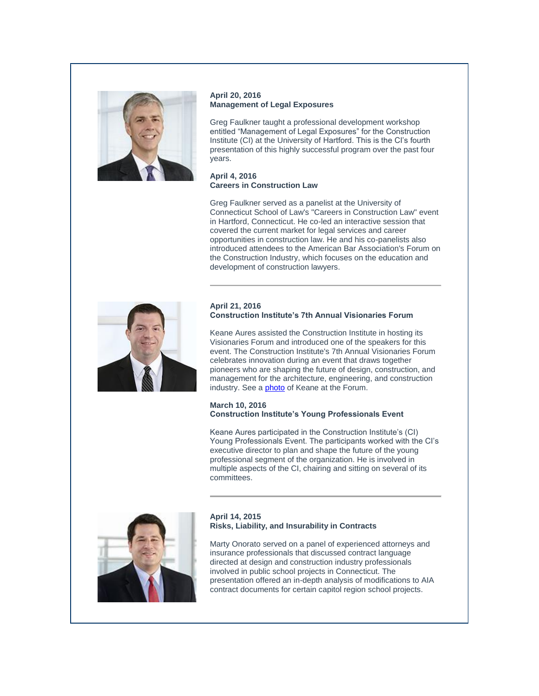

## **April 20, 2016 Management of Legal Exposures**

Greg Faulkner taught a professional development workshop entitled "Management of Legal Exposures" for the Construction Institute (CI) at the University of Hartford. This is the CI's fourth presentation of this highly successful program over the past four years.

## **April 4, 2016 Careers in Construction Law**

Greg Faulkner served as a panelist at the University of Connecticut School of Law's "Careers in Construction Law" event in Hartford, Connecticut. He co-led an interactive session that covered the current market for legal services and career opportunities in construction law. He and his co-panelists also introduced attendees to the American Bar Association's Forum on the Construction Industry, which focuses on the education and development of construction lawyers.



## **April 21, 2016 Construction Institute's 7th Annual Visionaries Forum**

Keane Aures assisted the Construction Institute in hosting its Visionaries Forum and introduced one of the speakers for this event. The Construction Institute's 7th Annual Visionaries Forum celebrates innovation during an event that draws together pioneers who are shaping the future of design, construction, and management for the architecture, engineering, and construction industry. See a **[photo](http://t2806904.omkt.co/track.aspx?id=402|2AD478|6F10|1E2|1070|0|1D6F|1|67F8742A&destination=http%3a%2f%2fwww.rc.com%2fnewsletters%2f2016%2fupload%2fIMG_2207.JPG%3futm_source%3dVocus%26utm_medium%3demail%26utm_campaign%3dRobinson%2b%2526%2bCole%2bLLP%26utm_content%3dkrs%2b%2bLLCN%2bOut%2b%2bAbout%2b%2bApril%2b2016&dchk=11DECE44)** of Keane at the Forum.

## **March 10, 2016 Construction Institute's Young Professionals Event**

Keane Aures participated in the Construction Institute's (CI) Young Professionals Event. The participants worked with the CI's executive director to plan and shape the future of the young professional segment of the organization. He is involved in multiple aspects of the CI, chairing and sitting on several of its committees.



## **April 14, 2015 Risks, Liability, and Insurability in Contracts**

Marty Onorato served on a panel of experienced attorneys and insurance professionals that discussed contract language directed at design and construction industry professionals involved in public school projects in Connecticut. The presentation offered an in-depth analysis of modifications to AIA contract documents for certain capitol region school projects.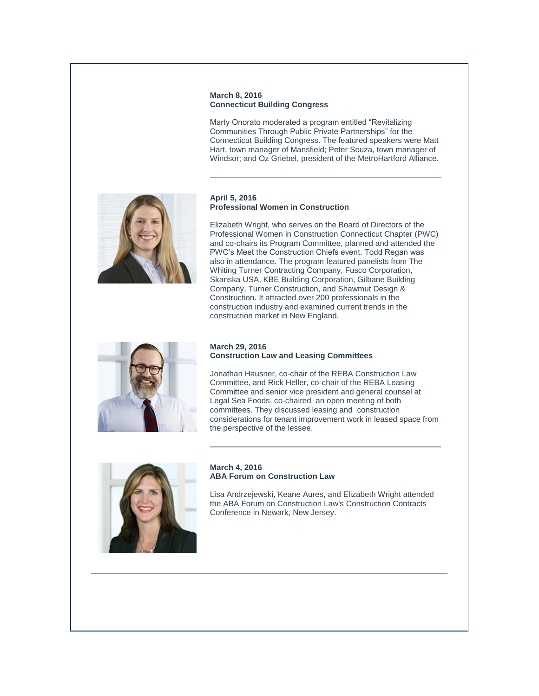### **March 8, 2016 Connecticut Building Congress**

Marty Onorato moderated a program entitled "Revitalizing Communities Through Public Private Partnerships" for the Connecticut Building Congress. The featured speakers were Matt Hart, town manager of Mansfield; Peter Souza, town manager of Windsor; and Oz Griebel, president of the MetroHartford Alliance.



### **April 5, 2016 Professional Women in Construction**

Elizabeth Wright, who serves on the Board of Directors of the Professional Women in Construction Connecticut Chapter (PWC) and co-chairs its Program Committee, planned and attended the PWC's Meet the Construction Chiefs event. Todd Regan was also in attendance. The program featured panelists from The Whiting Turner Contracting Company, Fusco Corporation, Skanska USA, KBE Building Corporation, Gilbane Building Company, Turner Construction, and Shawmut Design & Construction. It attracted over 200 professionals in the construction industry and examined current trends in the construction market in New England.



## **March 29, 2016 Construction Law and Leasing Committees**

Jonathan Hausner, co-chair of the REBA Construction Law Committee, and Rick Heller, co-chair of the REBA Leasing Committee and senior vice president and general counsel at Legal Sea Foods, co-chaired an open meeting of both committees. They discussed leasing and construction considerations for tenant improvement work in leased space from the perspective of the lessee.



### **March 4, 2016 ABA Forum on Construction Law**

Lisa Andrzejewski, Keane Aures, and Elizabeth Wright attended the ABA Forum on Construction Law's Construction Contracts Conference in Newark, New Jersey.